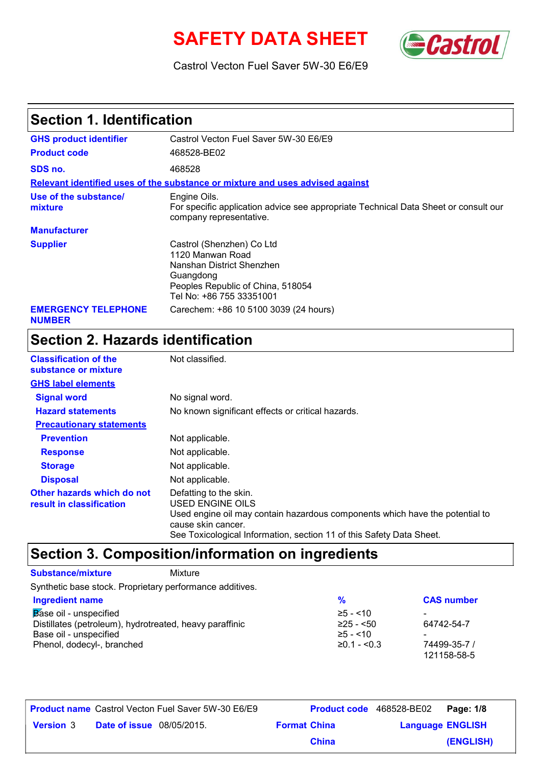# **SAFETY DATA SHEET** *Castrol*



Castrol Vecton Fuel Saver 5W-30 E6/E9

# **Section 1. Identification**

| <b>GHS product identifier</b>               | Castrol Vecton Fuel Saver 5W-30 E6/E9                                                                                                                    |
|---------------------------------------------|----------------------------------------------------------------------------------------------------------------------------------------------------------|
| <b>Product code</b>                         | 468528-BE02                                                                                                                                              |
| SDS no.                                     | 468528                                                                                                                                                   |
|                                             | Relevant identified uses of the substance or mixture and uses advised against                                                                            |
| Use of the substance/<br>mixture            | Engine Oils.<br>For specific application advice see appropriate Technical Data Sheet or consult our<br>company representative.                           |
| <b>Manufacturer</b>                         |                                                                                                                                                          |
| <b>Supplier</b>                             | Castrol (Shenzhen) Co Ltd<br>1120 Manwan Road<br>Nanshan District Shenzhen<br>Guangdong<br>Peoples Republic of China, 518054<br>Tel No: +86 755 33351001 |
| <b>EMERGENCY TELEPHONE</b><br><b>NUMBER</b> | Carechem: +86 10 5100 3039 (24 hours)                                                                                                                    |

# **Section 2. Hazards identification**

| <b>Classification of the</b><br>substance or mixture   | Not classified.                                                                                                                                                                                                          |
|--------------------------------------------------------|--------------------------------------------------------------------------------------------------------------------------------------------------------------------------------------------------------------------------|
| <b>GHS label elements</b>                              |                                                                                                                                                                                                                          |
| <b>Signal word</b>                                     | No signal word.                                                                                                                                                                                                          |
| <b>Hazard statements</b>                               | No known significant effects or critical hazards.                                                                                                                                                                        |
| <b>Precautionary statements</b>                        |                                                                                                                                                                                                                          |
| <b>Prevention</b>                                      | Not applicable.                                                                                                                                                                                                          |
| <b>Response</b>                                        | Not applicable.                                                                                                                                                                                                          |
| <b>Storage</b>                                         | Not applicable.                                                                                                                                                                                                          |
| <b>Disposal</b>                                        | Not applicable.                                                                                                                                                                                                          |
| Other hazards which do not<br>result in classification | Defatting to the skin.<br>USED ENGINE OILS<br>Used engine oil may contain hazardous components which have the potential to<br>cause skin cancer.<br>See Toxicological Information, section 11 of this Safety Data Sheet. |

# **Section 3. Composition/information on ingredients**

### **Substance/mixture** Mixture

Synthetic base stock. Proprietary performance additives.

| <b>Ingredient name</b>                                  | $\frac{1}{2}$         | <b>CAS number</b> |
|---------------------------------------------------------|-----------------------|-------------------|
| Base oil - unspecified                                  | $≥5 - < 10$           |                   |
| Distillates (petroleum), hydrotreated, heavy paraffinic | $≥25 - 50$            | 64742-54-7        |
| Base oil - unspecified                                  | $≥5 - < 10$           |                   |
| Phenol, dodecyl-, branched                              | $\geq 0.1 - \leq 0.3$ | 74499-35-7 /      |
|                                                         |                       | 121158-58-5       |

|                  |                                  | <b>Product name</b> Castrol Vecton Fuel Saver 5W-30 E6/E9 |                     | Product code 468528-BE02 | Page: 1/8 |
|------------------|----------------------------------|-----------------------------------------------------------|---------------------|--------------------------|-----------|
| <b>Version 3</b> | <b>Date of issue</b> 08/05/2015. |                                                           | <b>Format China</b> | <b>Language ENGLISH</b>  |           |
|                  |                                  |                                                           | <b>China</b>        |                          | (ENGLISH) |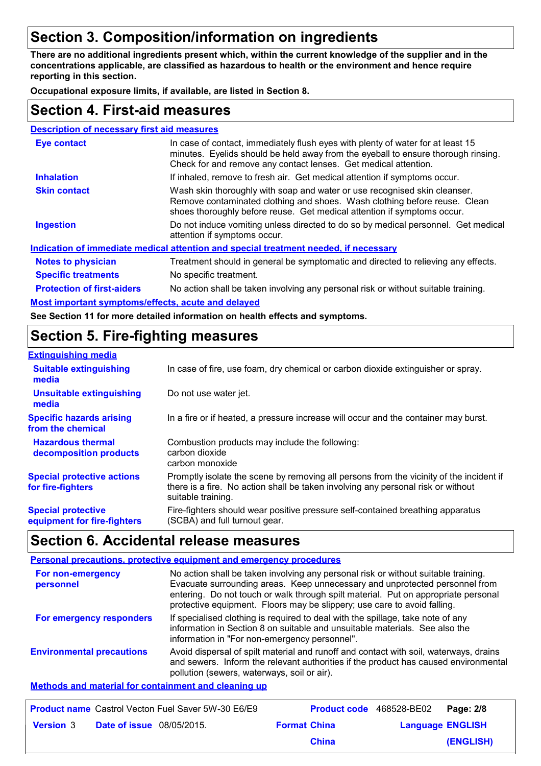# **Section 3. Composition/information on ingredients**

**There are no additional ingredients present which, within the current knowledge of the supplier and in the concentrations applicable, are classified as hazardous to health or the environment and hence require reporting in this section.**

**Occupational exposure limits, if available, are listed in Section 8.**

### **Section 4. First-aid measures**

| <b>Description of necessary first aid measures</b> |                                                                                                                                                                                                                                         |
|----------------------------------------------------|-----------------------------------------------------------------------------------------------------------------------------------------------------------------------------------------------------------------------------------------|
| <b>Eye contact</b>                                 | In case of contact, immediately flush eyes with plenty of water for at least 15<br>minutes. Eyelids should be held away from the eyeball to ensure thorough rinsing.<br>Check for and remove any contact lenses. Get medical attention. |
| <b>Inhalation</b>                                  | If inhaled, remove to fresh air. Get medical attention if symptoms occur.                                                                                                                                                               |
| <b>Skin contact</b>                                | Wash skin thoroughly with soap and water or use recognised skin cleanser.<br>Remove contaminated clothing and shoes. Wash clothing before reuse. Clean<br>shoes thoroughly before reuse. Get medical attention if symptoms occur.       |
| <b>Ingestion</b>                                   | Do not induce vomiting unless directed to do so by medical personnel. Get medical<br>attention if symptoms occur.                                                                                                                       |
|                                                    | Indication of immediate medical attention and special treatment needed, if necessary                                                                                                                                                    |
| <b>Notes to physician</b>                          | Treatment should in general be symptomatic and directed to relieving any effects.                                                                                                                                                       |
| <b>Specific treatments</b>                         | No specific treatment.                                                                                                                                                                                                                  |
| <b>Protection of first-aiders</b>                  | No action shall be taken involving any personal risk or without suitable training.                                                                                                                                                      |
| Most important symptoms/effects, acute and delayed |                                                                                                                                                                                                                                         |
|                                                    |                                                                                                                                                                                                                                         |

**See Section 11 for more detailed information on health effects and symptoms.**

# **Section 5. Fire-fighting measures**

| <b>Extinguishing media</b>                               |                                                                                                                                                                                                   |
|----------------------------------------------------------|---------------------------------------------------------------------------------------------------------------------------------------------------------------------------------------------------|
| <b>Suitable extinguishing</b><br>media                   | In case of fire, use foam, dry chemical or carbon dioxide extinguisher or spray.                                                                                                                  |
| <b>Unsuitable extinguishing</b><br>media                 | Do not use water jet.                                                                                                                                                                             |
| <b>Specific hazards arising</b><br>from the chemical     | In a fire or if heated, a pressure increase will occur and the container may burst.                                                                                                               |
| <b>Hazardous thermal</b><br>decomposition products       | Combustion products may include the following:<br>carbon dioxide<br>carbon monoxide                                                                                                               |
| <b>Special protective actions</b><br>for fire-fighters   | Promptly isolate the scene by removing all persons from the vicinity of the incident if<br>there is a fire. No action shall be taken involving any personal risk or without<br>suitable training. |
| <b>Special protective</b><br>equipment for fire-fighters | Fire-fighters should wear positive pressure self-contained breathing apparatus<br>(SCBA) and full turnout gear.                                                                                   |

# **Section 6. Accidental release measures**

|                                                      | <b>Personal precautions, protective equipment and emergency procedures</b>                                                                                                                                                                                                                                                          |
|------------------------------------------------------|-------------------------------------------------------------------------------------------------------------------------------------------------------------------------------------------------------------------------------------------------------------------------------------------------------------------------------------|
| For non-emergency<br>personnel                       | No action shall be taken involving any personal risk or without suitable training.<br>Evacuate surrounding areas. Keep unnecessary and unprotected personnel from<br>entering. Do not touch or walk through spilt material. Put on appropriate personal<br>protective equipment. Floors may be slippery; use care to avoid falling. |
| For emergency responders                             | If specialised clothing is required to deal with the spillage, take note of any<br>information in Section 8 on suitable and unsuitable materials. See also the<br>information in "For non-emergency personnel".                                                                                                                     |
| <b>Environmental precautions</b>                     | Avoid dispersal of spilt material and runoff and contact with soil, waterways, drains<br>and sewers. Inform the relevant authorities if the product has caused environmental<br>pollution (sewers, waterways, soil or air).                                                                                                         |
| Methods and material for containment and cleaning up |                                                                                                                                                                                                                                                                                                                                     |

#### **Material for containment and cleaning up**

|                  |                                  | <b>Product name</b> Castrol Vecton Fuel Saver 5W-30 E6/E9 |                     | Product code 468528-BE02 | Page: 2/8 |
|------------------|----------------------------------|-----------------------------------------------------------|---------------------|--------------------------|-----------|
| <b>Version 3</b> | <b>Date of issue</b> 08/05/2015. |                                                           | <b>Format China</b> | <b>Language ENGLISH</b>  |           |
|                  |                                  |                                                           | <b>China</b>        |                          | (ENGLISH) |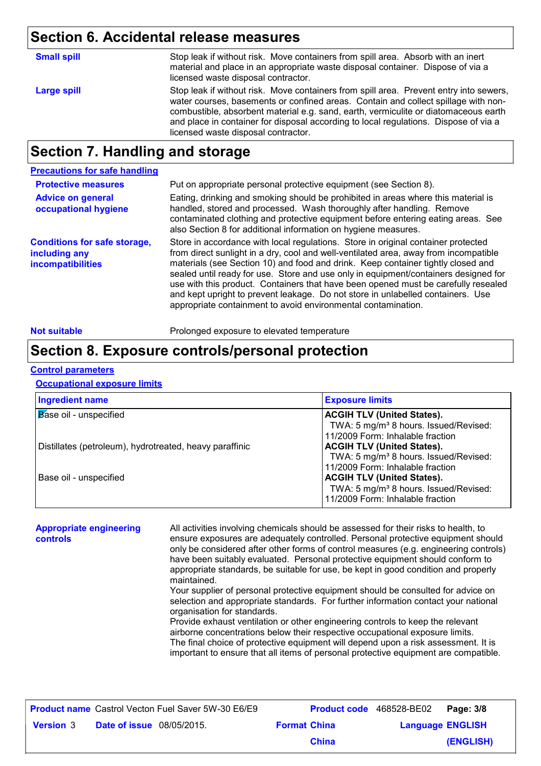# **Section 6. Accidental release measures**

| <b>Small spill</b> | Stop leak if without risk. Move containers from spill area. Absorb with an inert<br>material and place in an appropriate waste disposal container. Dispose of via a<br>licensed waste disposal contractor.                                                                                                                                                                                         |
|--------------------|----------------------------------------------------------------------------------------------------------------------------------------------------------------------------------------------------------------------------------------------------------------------------------------------------------------------------------------------------------------------------------------------------|
| Large spill        | Stop leak if without risk. Move containers from spill area. Prevent entry into sewers,<br>water courses, basements or confined areas. Contain and collect spillage with non-<br>combustible, absorbent material e.g. sand, earth, vermiculite or diatomaceous earth<br>and place in container for disposal according to local regulations. Dispose of via a<br>licensed waste disposal contractor. |

# **Section 7. Handling and storage**

| <b>Precautions for safe handling</b>                                      |                                                                                                                                                                                                                                                                                                                                                                                                                                                                                                                                                                                                |
|---------------------------------------------------------------------------|------------------------------------------------------------------------------------------------------------------------------------------------------------------------------------------------------------------------------------------------------------------------------------------------------------------------------------------------------------------------------------------------------------------------------------------------------------------------------------------------------------------------------------------------------------------------------------------------|
| <b>Protective measures</b>                                                | Put on appropriate personal protective equipment (see Section 8).                                                                                                                                                                                                                                                                                                                                                                                                                                                                                                                              |
| <b>Advice on general</b><br>occupational hygiene                          | Eating, drinking and smoking should be prohibited in areas where this material is<br>handled, stored and processed. Wash thoroughly after handling. Remove<br>contaminated clothing and protective equipment before entering eating areas. See<br>also Section 8 for additional information on hygiene measures.                                                                                                                                                                                                                                                                               |
| <b>Conditions for safe storage,</b><br>including any<br>incompatibilities | Store in accordance with local regulations. Store in original container protected<br>from direct sunlight in a dry, cool and well-ventilated area, away from incompatible<br>materials (see Section 10) and food and drink. Keep container tightly closed and<br>sealed until ready for use. Store and use only in equipment/containers designed for<br>use with this product. Containers that have been opened must be carefully resealed<br>and kept upright to prevent leakage. Do not store in unlabelled containers. Use<br>appropriate containment to avoid environmental contamination. |

Not suitable **Not suitable** Prolonged exposure to elevated temperature

## **Section 8. Exposure controls/personal protection**

### **Control parameters**

### **Occupational exposure limits**

| <b>Ingredient name</b>                                  | <b>Exposure limits</b>                            |
|---------------------------------------------------------|---------------------------------------------------|
| Base oil - unspecified                                  | <b>ACGIH TLV (United States).</b>                 |
|                                                         | TWA: 5 mg/m <sup>3</sup> 8 hours. Issued/Revised: |
|                                                         | 11/2009 Form: Inhalable fraction                  |
| Distillates (petroleum), hydrotreated, heavy paraffinic | <b>ACGIH TLV (United States).</b>                 |
|                                                         | TWA: 5 mg/m <sup>3</sup> 8 hours. Issued/Revised: |
|                                                         | 11/2009 Form: Inhalable fraction                  |
| Base oil - unspecified                                  | <b>ACGIH TLV (United States).</b>                 |
|                                                         | TWA: 5 mg/m <sup>3</sup> 8 hours. Issued/Revised: |
|                                                         | 11/2009 Form: Inhalable fraction                  |

| <b>Appropriate engineering</b><br><b>controls</b> | All activities involving chemicals should be assessed for their risks to health, to<br>ensure exposures are adequately controlled. Personal protective equipment should<br>only be considered after other forms of control measures (e.g. engineering controls)<br>have been suitably evaluated. Personal protective equipment should conform to<br>appropriate standards, be suitable for use, be kept in good condition and properly<br>maintained.<br>Your supplier of personal protective equipment should be consulted for advice on<br>selection and appropriate standards. For further information contact your national<br>organisation for standards.<br>Provide exhaust ventilation or other engineering controls to keep the relevant<br>airborne concentrations below their respective occupational exposure limits.<br>The final choice of protective equipment will depend upon a risk assessment. It is |
|---------------------------------------------------|------------------------------------------------------------------------------------------------------------------------------------------------------------------------------------------------------------------------------------------------------------------------------------------------------------------------------------------------------------------------------------------------------------------------------------------------------------------------------------------------------------------------------------------------------------------------------------------------------------------------------------------------------------------------------------------------------------------------------------------------------------------------------------------------------------------------------------------------------------------------------------------------------------------------|
|                                                   | important to ensure that all items of personal protective equipment are compatible.                                                                                                                                                                                                                                                                                                                                                                                                                                                                                                                                                                                                                                                                                                                                                                                                                                    |

|                  |                                  | <b>Product name</b> Castrol Vecton Fuel Saver 5W-30 E6/E9 |                     | <b>Product code</b> 468528-BE02   Page: 3/8 |           |
|------------------|----------------------------------|-----------------------------------------------------------|---------------------|---------------------------------------------|-----------|
| <b>Version 3</b> | <b>Date of issue</b> 08/05/2015. |                                                           | <b>Format China</b> | <b>Language ENGLISH</b>                     |           |
|                  |                                  |                                                           | China               |                                             | (ENGLISH) |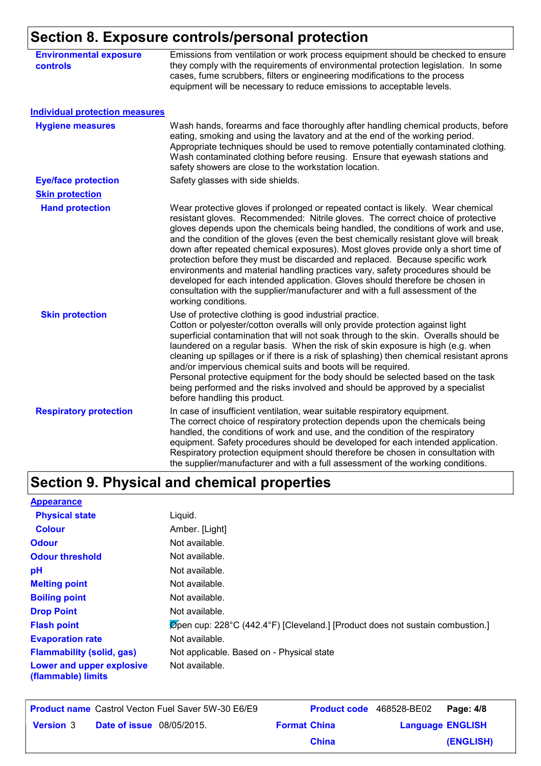# **Section 8. Exposure controls/personal protection**

| <b>Environmental exposure</b><br><b>controls</b> | Emissions from ventilation or work process equipment should be checked to ensure<br>they comply with the requirements of environmental protection legislation. In some<br>cases, fume scrubbers, filters or engineering modifications to the process<br>equipment will be necessary to reduce emissions to acceptable levels.                                                                                                                                                                                                                                                                                                                                                                                                                                                                   |
|--------------------------------------------------|-------------------------------------------------------------------------------------------------------------------------------------------------------------------------------------------------------------------------------------------------------------------------------------------------------------------------------------------------------------------------------------------------------------------------------------------------------------------------------------------------------------------------------------------------------------------------------------------------------------------------------------------------------------------------------------------------------------------------------------------------------------------------------------------------|
| <b>Individual protection measures</b>            |                                                                                                                                                                                                                                                                                                                                                                                                                                                                                                                                                                                                                                                                                                                                                                                                 |
| <b>Hygiene measures</b>                          | Wash hands, forearms and face thoroughly after handling chemical products, before<br>eating, smoking and using the lavatory and at the end of the working period.<br>Appropriate techniques should be used to remove potentially contaminated clothing.<br>Wash contaminated clothing before reusing. Ensure that eyewash stations and<br>safety showers are close to the workstation location.                                                                                                                                                                                                                                                                                                                                                                                                 |
| <b>Eye/face protection</b>                       | Safety glasses with side shields.                                                                                                                                                                                                                                                                                                                                                                                                                                                                                                                                                                                                                                                                                                                                                               |
| <b>Skin protection</b>                           |                                                                                                                                                                                                                                                                                                                                                                                                                                                                                                                                                                                                                                                                                                                                                                                                 |
| <b>Hand protection</b>                           | Wear protective gloves if prolonged or repeated contact is likely. Wear chemical<br>resistant gloves. Recommended: Nitrile gloves. The correct choice of protective<br>gloves depends upon the chemicals being handled, the conditions of work and use,<br>and the condition of the gloves (even the best chemically resistant glove will break<br>down after repeated chemical exposures). Most gloves provide only a short time of<br>protection before they must be discarded and replaced. Because specific work<br>environments and material handling practices vary, safety procedures should be<br>developed for each intended application. Gloves should therefore be chosen in<br>consultation with the supplier/manufacturer and with a full assessment of the<br>working conditions. |
| <b>Skin protection</b>                           | Use of protective clothing is good industrial practice.<br>Cotton or polyester/cotton overalls will only provide protection against light<br>superficial contamination that will not soak through to the skin. Overalls should be<br>laundered on a regular basis. When the risk of skin exposure is high (e.g. when<br>cleaning up spillages or if there is a risk of splashing) then chemical resistant aprons<br>and/or impervious chemical suits and boots will be required.<br>Personal protective equipment for the body should be selected based on the task<br>being performed and the risks involved and should be approved by a specialist<br>before handling this product.                                                                                                           |
| <b>Respiratory protection</b>                    | In case of insufficient ventilation, wear suitable respiratory equipment.<br>The correct choice of respiratory protection depends upon the chemicals being<br>handled, the conditions of work and use, and the condition of the respiratory<br>equipment. Safety procedures should be developed for each intended application.<br>Respiratory protection equipment should therefore be chosen in consultation with<br>the supplier/manufacturer and with a full assessment of the working conditions.                                                                                                                                                                                                                                                                                           |

# **Section 9. Physical and chemical properties**

| <b>Appearance</b>                               |                                                                                            |
|-------------------------------------------------|--------------------------------------------------------------------------------------------|
| <b>Physical state</b>                           | Liquid.                                                                                    |
| <b>Colour</b>                                   | Amber. [Light]                                                                             |
| <b>Odour</b>                                    | Not available.                                                                             |
| <b>Odour threshold</b>                          | Not available.                                                                             |
| рH                                              | Not available.                                                                             |
| <b>Melting point</b>                            | Not available.                                                                             |
| <b>Boiling point</b>                            | Not available.                                                                             |
| <b>Drop Point</b>                               | Not available.                                                                             |
| <b>Flash point</b>                              | $\varnothing$ pen cup: 228°C (442.4°F) [Cleveland.] [Product does not sustain combustion.] |
| <b>Evaporation rate</b>                         | Not available.                                                                             |
| <b>Flammability (solid, gas)</b>                | Not applicable. Based on - Physical state                                                  |
| Lower and upper explosive<br>(flammable) limits | Not available.                                                                             |

|                  |                                  | <b>Product name</b> Castrol Vecton Fuel Saver 5W-30 E6/E9 |                     | <b>Product code</b> 468528-BE02 Page: 4/8 |           |
|------------------|----------------------------------|-----------------------------------------------------------|---------------------|-------------------------------------------|-----------|
| <b>Version</b> 3 | <b>Date of issue</b> 08/05/2015. |                                                           | <b>Format China</b> | <b>Language ENGLISH</b>                   |           |
|                  |                                  |                                                           | <b>China</b>        |                                           | (ENGLISH) |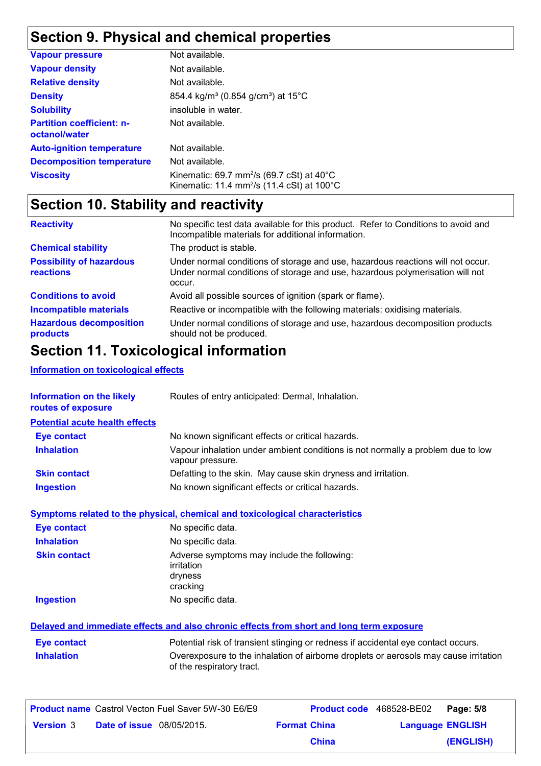# **Section 9. Physical and chemical properties**

| <b>Vapour pressure</b>                            | Not available.                                                                                                                       |
|---------------------------------------------------|--------------------------------------------------------------------------------------------------------------------------------------|
| <b>Vapour density</b>                             | Not available.                                                                                                                       |
| <b>Relative density</b>                           | Not available.                                                                                                                       |
| <b>Density</b>                                    | 854.4 kg/m <sup>3</sup> (0.854 g/cm <sup>3</sup> ) at 15°C                                                                           |
| <b>Solubility</b>                                 | insoluble in water.                                                                                                                  |
| <b>Partition coefficient: n-</b><br>octanol/water | Not available.                                                                                                                       |
| <b>Auto-ignition temperature</b>                  | Not available.                                                                                                                       |
| <b>Decomposition temperature</b>                  | Not available.                                                                                                                       |
| <b>Viscosity</b>                                  | Kinematic: 69.7 mm <sup>2</sup> /s (69.7 cSt) at $40^{\circ}$ C<br>Kinematic: 11.4 mm <sup>2</sup> /s (11.4 cSt) at 100 $^{\circ}$ C |

# **Section 10. Stability and reactivity**

| <b>Reactivity</b>                            | No specific test data available for this product. Refer to Conditions to avoid and<br>Incompatible materials for additional information.                                   |
|----------------------------------------------|----------------------------------------------------------------------------------------------------------------------------------------------------------------------------|
| <b>Chemical stability</b>                    | The product is stable.                                                                                                                                                     |
| <b>Possibility of hazardous</b><br>reactions | Under normal conditions of storage and use, hazardous reactions will not occur.<br>Under normal conditions of storage and use, hazardous polymerisation will not<br>occur. |
| <b>Conditions to avoid</b>                   | Avoid all possible sources of ignition (spark or flame).                                                                                                                   |
| <b>Incompatible materials</b>                | Reactive or incompatible with the following materials: oxidising materials.                                                                                                |
| <b>Hazardous decomposition</b><br>products   | Under normal conditions of storage and use, hazardous decomposition products<br>should not be produced.                                                                    |

# **Section 11. Toxicological information**

### **Information on toxicological effects**

| Information on the likely<br>routes of exposure | Routes of entry anticipated: Dermal, Inhalation.                                                                  |
|-------------------------------------------------|-------------------------------------------------------------------------------------------------------------------|
| <b>Potential acute health effects</b>           |                                                                                                                   |
| <b>Eye contact</b>                              | No known significant effects or critical hazards.                                                                 |
| <b>Inhalation</b>                               | Vapour inhalation under ambient conditions is not normally a problem due to low<br>vapour pressure.               |
| <b>Skin contact</b>                             | Defatting to the skin. May cause skin dryness and irritation.                                                     |
| <b>Ingestion</b>                                | No known significant effects or critical hazards.                                                                 |
|                                                 | Symptoms related to the physical, chemical and toxicological characteristics                                      |
| <b>Eye contact</b>                              | No specific data.                                                                                                 |
| <b>Inhalation</b>                               | No specific data.                                                                                                 |
| <b>Skin contact</b>                             | Adverse symptoms may include the following:<br>irritation<br>dryness<br>cracking                                  |
| <b>Ingestion</b>                                | No specific data.                                                                                                 |
|                                                 | Delayed and immediate effects and also chronic effects from short and long term exposure                          |
| <b>Eye contact</b>                              | Potential risk of transient stinging or redness if accidental eye contact occurs.                                 |
| <b>Inhalation</b>                               | Overexposure to the inhalation of airborne droplets or aerosols may cause irritation<br>of the respiratory tract. |
|                                                 |                                                                                                                   |

|                  |                                  | <b>Product name</b> Castrol Vecton Fuel Saver 5W-30 E6/E9 |                     | Product code 468528-BE02 | Page: 5/8               |
|------------------|----------------------------------|-----------------------------------------------------------|---------------------|--------------------------|-------------------------|
| <b>Version</b> 3 | <b>Date of issue</b> 08/05/2015. |                                                           | <b>Format China</b> |                          | <b>Language ENGLISH</b> |
|                  |                                  |                                                           | <b>China</b>        |                          | (ENGLISH)               |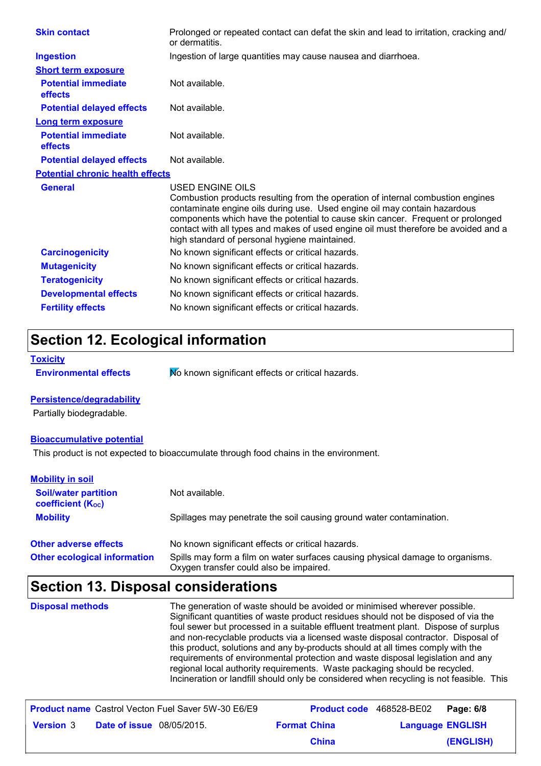| <b>Skin contact</b>                          | Prolonged or repeated contact can defat the skin and lead to irritation, cracking and/<br>or dermatitis.                                                                                                                                                                                                                                                                                                    |
|----------------------------------------------|-------------------------------------------------------------------------------------------------------------------------------------------------------------------------------------------------------------------------------------------------------------------------------------------------------------------------------------------------------------------------------------------------------------|
| <b>Ingestion</b>                             | Ingestion of large quantities may cause nausea and diarrhoea.                                                                                                                                                                                                                                                                                                                                               |
| <b>Short term exposure</b>                   |                                                                                                                                                                                                                                                                                                                                                                                                             |
| <b>Potential immediate</b><br><b>effects</b> | Not available.                                                                                                                                                                                                                                                                                                                                                                                              |
| <b>Potential delayed effects</b>             | Not available.                                                                                                                                                                                                                                                                                                                                                                                              |
| <b>Long term exposure</b>                    |                                                                                                                                                                                                                                                                                                                                                                                                             |
| <b>Potential immediate</b><br><b>effects</b> | Not available.                                                                                                                                                                                                                                                                                                                                                                                              |
| <b>Potential delayed effects</b>             | Not available.                                                                                                                                                                                                                                                                                                                                                                                              |
| <b>Potential chronic health effects</b>      |                                                                                                                                                                                                                                                                                                                                                                                                             |
| <b>General</b>                               | USED ENGINE OILS<br>Combustion products resulting from the operation of internal combustion engines<br>contaminate engine oils during use. Used engine oil may contain hazardous<br>components which have the potential to cause skin cancer. Frequent or prolonged<br>contact with all types and makes of used engine oil must therefore be avoided and a<br>high standard of personal hygiene maintained. |
| <b>Carcinogenicity</b>                       | No known significant effects or critical hazards.                                                                                                                                                                                                                                                                                                                                                           |
| <b>Mutagenicity</b>                          | No known significant effects or critical hazards.                                                                                                                                                                                                                                                                                                                                                           |
| <b>Teratogenicity</b>                        | No known significant effects or critical hazards.                                                                                                                                                                                                                                                                                                                                                           |
| <b>Developmental effects</b>                 | No known significant effects or critical hazards.                                                                                                                                                                                                                                                                                                                                                           |
|                                              |                                                                                                                                                                                                                                                                                                                                                                                                             |

# **Section 12. Ecological information**

```
Toxicity
```
**Environmental effects** Mo known significant effects or critical hazards.

### **Persistence/degradability**

Partially biodegradable.

### **Bioaccumulative potential**

This product is not expected to bioaccumulate through food chains in the environment.

| <b>Mobility in soil</b>                                 |                                                                                                                           |
|---------------------------------------------------------|---------------------------------------------------------------------------------------------------------------------------|
| <b>Soil/water partition</b><br><b>coefficient (Koc)</b> | Not available.                                                                                                            |
| <b>Mobility</b>                                         | Spillages may penetrate the soil causing ground water contamination.                                                      |
| <b>Other adverse effects</b>                            | No known significant effects or critical hazards.                                                                         |
| <b>Other ecological information</b>                     | Spills may form a film on water surfaces causing physical damage to organisms.<br>Oxygen transfer could also be impaired. |

# **Section 13. Disposal considerations**

| <b>Disposal methods</b> | The generation of waste should be avoided or minimised wherever possible.<br>Significant quantities of waste product residues should not be disposed of via the<br>foul sewer but processed in a suitable effluent treatment plant. Dispose of surplus<br>and non-recyclable products via a licensed waste disposal contractor. Disposal of<br>this product, solutions and any by-products should at all times comply with the<br>requirements of environmental protection and waste disposal legislation and any<br>regional local authority requirements. Waste packaging should be recycled.<br>Incineration or landfill should only be considered when recycling is not feasible. This |
|-------------------------|--------------------------------------------------------------------------------------------------------------------------------------------------------------------------------------------------------------------------------------------------------------------------------------------------------------------------------------------------------------------------------------------------------------------------------------------------------------------------------------------------------------------------------------------------------------------------------------------------------------------------------------------------------------------------------------------|
|-------------------------|--------------------------------------------------------------------------------------------------------------------------------------------------------------------------------------------------------------------------------------------------------------------------------------------------------------------------------------------------------------------------------------------------------------------------------------------------------------------------------------------------------------------------------------------------------------------------------------------------------------------------------------------------------------------------------------------|

|                  |                                  | <b>Product name</b> Castrol Vecton Fuel Saver 5W-30 E6/E9 |                     | <b>Product code</b> 468528-BE02   Page: 6/8 |           |
|------------------|----------------------------------|-----------------------------------------------------------|---------------------|---------------------------------------------|-----------|
| <b>Version</b> 3 | <b>Date of issue</b> 08/05/2015. |                                                           | <b>Format China</b> | <b>Language ENGLISH</b>                     |           |
|                  |                                  |                                                           | China               |                                             | (ENGLISH) |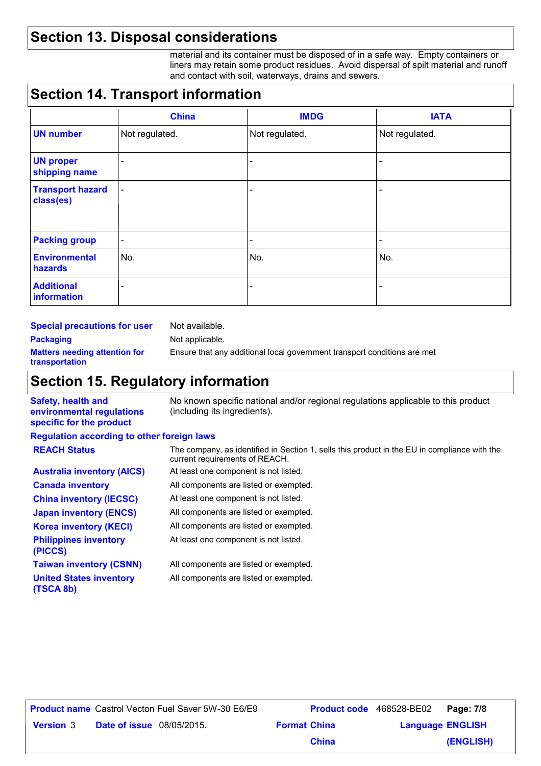# **Section 13. Disposal considerations**

material and its container must be disposed of in a safe way. Empty containers or liners may retain some product residues. Avoid dispersal of spilt material and runoff and contact with soil, waterways, drains and sewers.

# **Section 14. Transport information**

|                                      | <b>China</b>             | <b>IMDG</b>                  | <b>IATA</b>              |
|--------------------------------------|--------------------------|------------------------------|--------------------------|
| <b>UN number</b>                     | Not regulated.           | Not regulated.               | Not regulated.           |
| <b>UN proper</b><br>shipping name    | $\overline{\phantom{a}}$ | $\qquad \qquad \blacksquare$ | $\qquad \qquad$          |
| <b>Transport hazard</b><br>class(es) | $\blacksquare$           | -                            | $\overline{\phantom{a}}$ |
| <b>Packing group</b>                 | $\blacksquare$           | $\overline{\phantom{a}}$     | $\overline{\phantom{a}}$ |
| <b>Environmental</b><br>hazards      | No.                      | No.                          | No.                      |
| <b>Additional</b><br>information     | $\overline{\phantom{a}}$ | -                            | $\qquad \qquad$          |

| <b>Special precautions for user</b>                    | Not available.                                                           |
|--------------------------------------------------------|--------------------------------------------------------------------------|
| <b>Packaging</b>                                       | Not applicable.                                                          |
| <b>Matters needing attention for</b><br>transportation | Ensure that any additional local government transport conditions are met |
|                                                        |                                                                          |

# **Section 15. Regulatory information**

| <b>Safety, health and</b><br>environmental regulations | No known specific national and/or regional regulations applicable to this product<br>(including its ingredients).              |
|--------------------------------------------------------|--------------------------------------------------------------------------------------------------------------------------------|
| specific for the product                               |                                                                                                                                |
| <b>Regulation according to other foreign laws</b>      |                                                                                                                                |
| <b>REACH Status</b>                                    | The company, as identified in Section 1, sells this product in the EU in compliance with the<br>current requirements of REACH. |
| <b>Australia inventory (AICS)</b>                      | At least one component is not listed.                                                                                          |
| <b>Canada inventory</b>                                | All components are listed or exempted.                                                                                         |
| <b>China inventory (IECSC)</b>                         | At least one component is not listed.                                                                                          |
| <b>Japan inventory (ENCS)</b>                          | All components are listed or exempted.                                                                                         |
| <b>Korea inventory (KECI)</b>                          | All components are listed or exempted.                                                                                         |
| <b>Philippines inventory</b><br>(PICCS)                | At least one component is not listed.                                                                                          |
| <b>Taiwan inventory (CSNN)</b>                         | All components are listed or exempted.                                                                                         |
| <b>United States inventory</b><br>(TSCA 8b)            | All components are listed or exempted.                                                                                         |